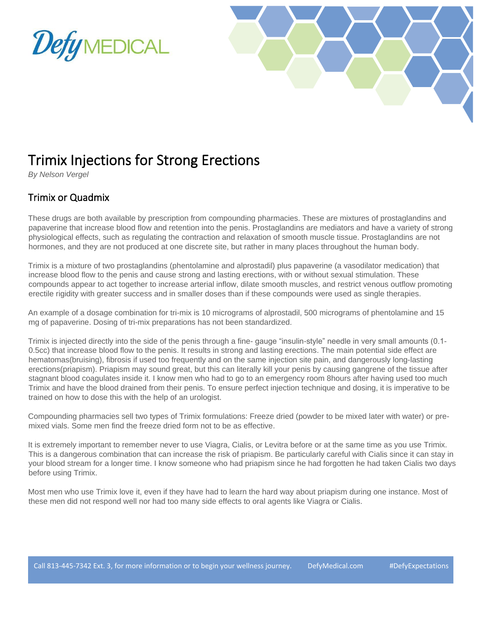



## Trimix Injections for Strong Erections

*By Nelson Vergel*

## Trimix or Quadmix

These drugs are both available by prescription from compounding pharmacies. These are mixtures of prostaglandins and papaverine that increase blood flow and retention into the penis. Prostaglandins are mediators and have a variety of strong physiological effects, such as regulating the contraction and relaxation of smooth muscle tissue. Prostaglandins are not hormones, and they are not produced at one discrete site, but rather in many places throughout the human body.

Trimix is a mixture of two prostaglandins (phentolamine and alprostadil) plus papaverine (a vasodilator medication) that increase blood flow to the penis and cause strong and lasting erections, with or without sexual stimulation. These compounds appear to act together to increase arterial inflow, dilate smooth muscles, and restrict venous outflow promoting erectile rigidity with greater success and in smaller doses than if these compounds were used as single therapies.

An example of a dosage combination for tri-mix is 10 micrograms of alprostadil, 500 micrograms of phentolamine and 15 mg of papaverine. Dosing of tri-mix preparations has not been standardized.

Trimix is injected directly into the side of the penis through a fine- gauge "insulin-style" needle in very small amounts (0.1- 0.5cc) that increase blood flow to the penis. It results in strong and lasting erections. The main potential side effect are hematomas(bruising), fibrosis if used too frequently and on the same injection site pain, and dangerously long-lasting erections(priapism). Priapism may sound great, but this can literally kill your penis by causing gangrene of the tissue after stagnant blood coagulates inside it. I know men who had to go to an emergency room 8hours after having used too much Trimix and have the blood drained from their penis. To ensure perfect injection technique and dosing, it is imperative to be trained on how to dose this with the help of an urologist.

Compounding pharmacies sell two types of Trimix formulations: Freeze dried (powder to be mixed later with water) or premixed vials. Some men find the freeze dried form not to be as effective.

It is extremely important to remember never to use Viagra, Cialis, or Levitra before or at the same time as you use Trimix. This is a dangerous combination that can increase the risk of priapism. Be particularly careful with Cialis since it can stay in your blood stream for a longer time. I know someone who had priapism since he had forgotten he had taken Cialis two days before using Trimix.

Most men who use Trimix love it, even if they have had to learn the hard way about priapism during one instance. Most of these men did not respond well nor had too many side effects to oral agents like Viagra or Cialis.